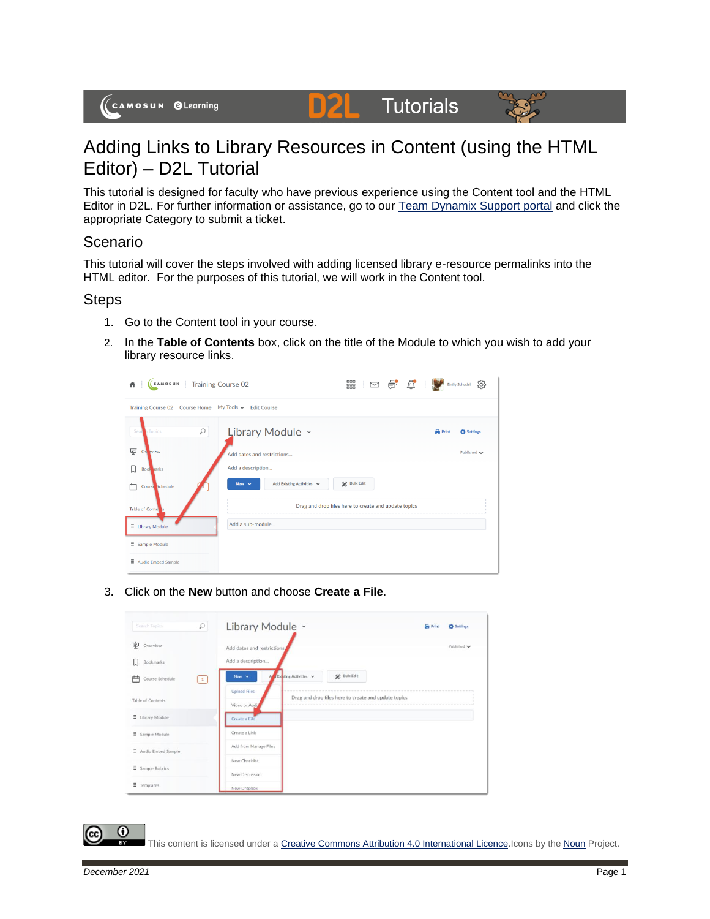# Adding Links to Library Resources in Content (using the HTML Editor) – D2L Tutorial

This tutorial is designed for faculty who have previous experience using the Content tool and the HTML Editor in D2L. For further information or assistance, go to our [Team Dynamix Support portal](https://camosun.teamdynamix.com/TDClient/67/Portal/Requests/ServiceCatalog?CategoryID=523) and click the appropriate Category to submit a ticket.

**D2L** Tutorials

### Scenario

This tutorial will cover the steps involved with adding licensed library e-resource permalinks into the HTML editor. For the purposes of this tutorial, we will work in the Content tool.

### **Steps**

- 1. Go to the Content tool in your course.
- 2. In the **Table of Contents** box, click on the title of the Module to which you wish to add your library resource links.



3. Click on the **New** button and choose **Create a File**.



⋒

This content is licensed under [a Creative Commons Attribution 4.0 International Licence.I](https://creativecommons.org/licenses/by/4.0/)cons by the [Noun](https://creativecommons.org/website-icons/) Project.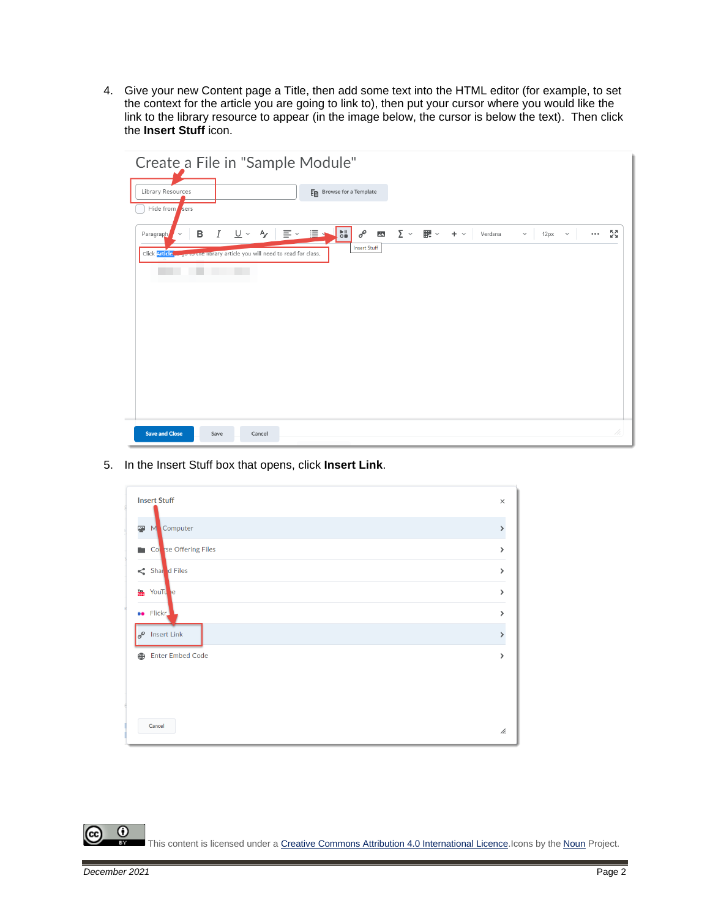4. Give your new Content page a Title, then add some text into the HTML editor (for example, to set the context for the article you are going to link to), then put your cursor where you would like the link to the library resource to appear (in the image below, the cursor is below the text). Then click the **Insert Stuff** icon.

| Create a File in "Sample Module"                                                                                                                                                                                                               |              |
|------------------------------------------------------------------------------------------------------------------------------------------------------------------------------------------------------------------------------------------------|--------------|
| Library Resources<br>En Browse for a Template<br>Hide from sers                                                                                                                                                                                |              |
| $\frac{1}{16}$<br><i>Ⅰ</i> リ > タ   三 > 三 →<br>$\sum$ $\vee$ $\quad$ $\mathbb{H}$ $\vee$ $\quad$ + $\vee$<br>$\sigma^{\!\mathcal{O}}$<br>в<br>$\overline{\mathbf{z}}$<br>Verdana<br>$\checkmark$<br>12px<br>$\sim$<br>Paragraph<br>$\checkmark$ | <br>БZ<br>Ум |
| <b>Insert Stuff</b><br>Click Article way to the library article you will need to read for class.                                                                                                                                               |              |
|                                                                                                                                                                                                                                                |              |
|                                                                                                                                                                                                                                                |              |
|                                                                                                                                                                                                                                                |              |
|                                                                                                                                                                                                                                                |              |
|                                                                                                                                                                                                                                                |              |
|                                                                                                                                                                                                                                                |              |
| <b>Save and Close</b><br>Save<br>Cancel                                                                                                                                                                                                        | 4.           |

5. In the Insert Stuff box that opens, click **Insert Link**.



 $\odot$ r. This content is licensed under [a Creative Commons Attribution 4.0 International Licence.I](https://creativecommons.org/licenses/by/4.0/)cons by the [Noun](https://creativecommons.org/website-icons/) Project.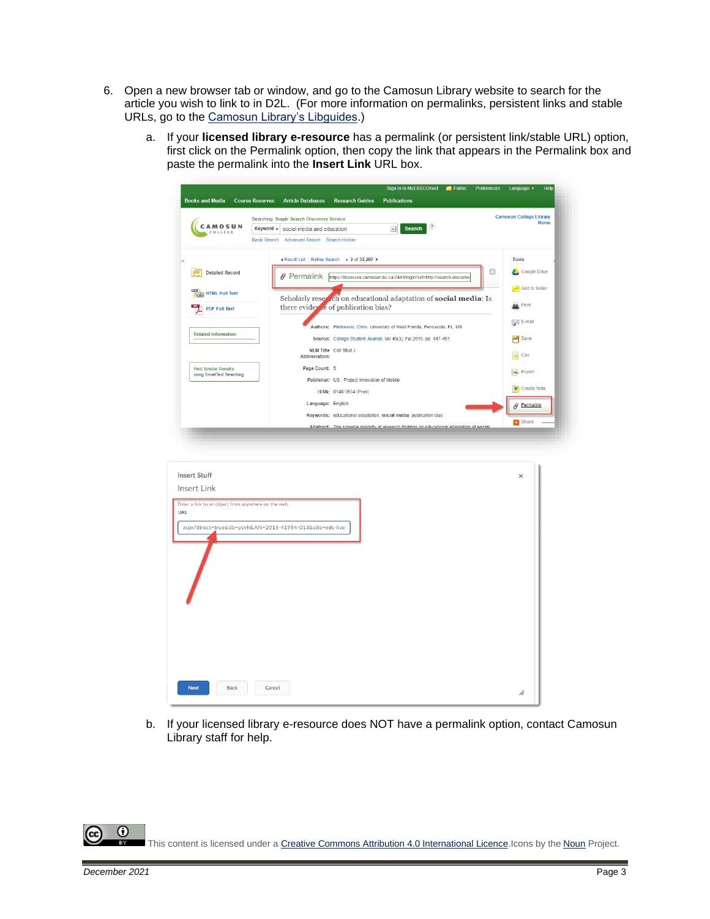- 6. Open a new browser tab or window, and go to the Camosun Library website to search for the article you wish to link to in D2L. (For more information on permalinks, persistent links and stable URLs, go to the [Camosun Library's Libguides.](http://camosun.ca.libguides.com/c.php?g=92275&p=1238057))
	- a. If your **licensed library e-resource** has a permalink (or persistent link/stable URL) option, first click on the Permalink option, then copy the link that appears in the Permalink box and paste the permalink into the **Insert Link** URL box.

| <b>Course Reserves</b><br><b>Camosun College Library</b><br>Searching: Single Search Discovery Service<br>CAMOSUN<br>$\bf (3)$<br><b>Search</b><br>Keyword -<br>$\pmb{\times}$<br>social media and education<br>COLLEGE<br>Basic Search Advanced Search Search History<br>« Result List   Refine Search → 2 of 32,207 →<br><b>Tools</b><br>⊠<br>Google Drive<br><b>Detailed Record</b><br>E.<br><i><b>&amp; Permalink</b></i><br>https://libsecure.camosun.bc.ca:2443/login?url=http://search.ebscoho<br>Add to folder<br><b>HTML Full Text</b><br>Scholarly reser ch on educational adaptation of social media: Is<br>$\Box$ Print<br>there evider the of publication bias?<br><b>PDF Full Text</b><br>$\geqslant$ E-mail<br>Authors: Piotrowski, Chris. University of West Florida, Pensacola, FL, US<br><b>Related Information</b><br>Save<br>Source: College Student Journal, Vol 49(3), Fal 2015. pp. 447-451.<br>NLM Title Coll Stud J<br>$\Box$ Cite<br>Abbreviation:<br>Page Count: 5<br><b>Find Similar Results</b><br>Export<br>using SmartText Searching.<br>Publisher: US : Project Innovation of Mobile<br><b>O</b> Create Note<br>ISSN: 0146-3934 (Print)<br>Language: English<br>Permalink<br>0<br>Keywords: educational adaptation, social media, publication bias<br>Share<br>Abstract: The sizeable maiority of research findings on educational adaptation of social<br><b>Insert Stuff</b><br>$\times$<br><b>Insert Link</b><br>Enter a link to an object from anywhere on the web.<br><b>URL</b><br>aspx?direct=true&db=psyh&AN=2015-41954-013&site=eds-live<br><b>Next</b><br><b>Back</b><br>Cancel<br>h. | <b>Books and Media</b> |                          | <b>Research Guides</b> | Sign In to MyEBSCOhost<br><b>Publications</b> | Folder | Preferences | Language v | Help |
|---------------------------------------------------------------------------------------------------------------------------------------------------------------------------------------------------------------------------------------------------------------------------------------------------------------------------------------------------------------------------------------------------------------------------------------------------------------------------------------------------------------------------------------------------------------------------------------------------------------------------------------------------------------------------------------------------------------------------------------------------------------------------------------------------------------------------------------------------------------------------------------------------------------------------------------------------------------------------------------------------------------------------------------------------------------------------------------------------------------------------------------------------------------------------------------------------------------------------------------------------------------------------------------------------------------------------------------------------------------------------------------------------------------------------------------------------------------------------------------------------------------------------------------------------------------------------------------------------------------------------------|------------------------|--------------------------|------------------------|-----------------------------------------------|--------|-------------|------------|------|
|                                                                                                                                                                                                                                                                                                                                                                                                                                                                                                                                                                                                                                                                                                                                                                                                                                                                                                                                                                                                                                                                                                                                                                                                                                                                                                                                                                                                                                                                                                                                                                                                                                 |                        | <b>Article Databases</b> |                        |                                               |        |             |            |      |
|                                                                                                                                                                                                                                                                                                                                                                                                                                                                                                                                                                                                                                                                                                                                                                                                                                                                                                                                                                                                                                                                                                                                                                                                                                                                                                                                                                                                                                                                                                                                                                                                                                 |                        |                          |                        |                                               |        |             |            | Home |
|                                                                                                                                                                                                                                                                                                                                                                                                                                                                                                                                                                                                                                                                                                                                                                                                                                                                                                                                                                                                                                                                                                                                                                                                                                                                                                                                                                                                                                                                                                                                                                                                                                 |                        |                          |                        |                                               |        |             |            |      |
|                                                                                                                                                                                                                                                                                                                                                                                                                                                                                                                                                                                                                                                                                                                                                                                                                                                                                                                                                                                                                                                                                                                                                                                                                                                                                                                                                                                                                                                                                                                                                                                                                                 |                        |                          |                        |                                               |        |             |            |      |
|                                                                                                                                                                                                                                                                                                                                                                                                                                                                                                                                                                                                                                                                                                                                                                                                                                                                                                                                                                                                                                                                                                                                                                                                                                                                                                                                                                                                                                                                                                                                                                                                                                 | $\ll$                  |                          |                        |                                               |        |             |            |      |
|                                                                                                                                                                                                                                                                                                                                                                                                                                                                                                                                                                                                                                                                                                                                                                                                                                                                                                                                                                                                                                                                                                                                                                                                                                                                                                                                                                                                                                                                                                                                                                                                                                 |                        |                          |                        |                                               |        |             |            |      |
|                                                                                                                                                                                                                                                                                                                                                                                                                                                                                                                                                                                                                                                                                                                                                                                                                                                                                                                                                                                                                                                                                                                                                                                                                                                                                                                                                                                                                                                                                                                                                                                                                                 |                        |                          |                        |                                               |        |             |            |      |
|                                                                                                                                                                                                                                                                                                                                                                                                                                                                                                                                                                                                                                                                                                                                                                                                                                                                                                                                                                                                                                                                                                                                                                                                                                                                                                                                                                                                                                                                                                                                                                                                                                 |                        |                          |                        |                                               |        |             |            |      |
|                                                                                                                                                                                                                                                                                                                                                                                                                                                                                                                                                                                                                                                                                                                                                                                                                                                                                                                                                                                                                                                                                                                                                                                                                                                                                                                                                                                                                                                                                                                                                                                                                                 |                        |                          |                        |                                               |        |             |            |      |
|                                                                                                                                                                                                                                                                                                                                                                                                                                                                                                                                                                                                                                                                                                                                                                                                                                                                                                                                                                                                                                                                                                                                                                                                                                                                                                                                                                                                                                                                                                                                                                                                                                 |                        |                          |                        |                                               |        |             |            |      |
|                                                                                                                                                                                                                                                                                                                                                                                                                                                                                                                                                                                                                                                                                                                                                                                                                                                                                                                                                                                                                                                                                                                                                                                                                                                                                                                                                                                                                                                                                                                                                                                                                                 |                        |                          |                        |                                               |        |             |            |      |
|                                                                                                                                                                                                                                                                                                                                                                                                                                                                                                                                                                                                                                                                                                                                                                                                                                                                                                                                                                                                                                                                                                                                                                                                                                                                                                                                                                                                                                                                                                                                                                                                                                 |                        |                          |                        |                                               |        |             |            |      |
|                                                                                                                                                                                                                                                                                                                                                                                                                                                                                                                                                                                                                                                                                                                                                                                                                                                                                                                                                                                                                                                                                                                                                                                                                                                                                                                                                                                                                                                                                                                                                                                                                                 |                        |                          |                        |                                               |        |             |            |      |
|                                                                                                                                                                                                                                                                                                                                                                                                                                                                                                                                                                                                                                                                                                                                                                                                                                                                                                                                                                                                                                                                                                                                                                                                                                                                                                                                                                                                                                                                                                                                                                                                                                 |                        |                          |                        |                                               |        |             |            |      |
|                                                                                                                                                                                                                                                                                                                                                                                                                                                                                                                                                                                                                                                                                                                                                                                                                                                                                                                                                                                                                                                                                                                                                                                                                                                                                                                                                                                                                                                                                                                                                                                                                                 |                        |                          |                        |                                               |        |             |            |      |
|                                                                                                                                                                                                                                                                                                                                                                                                                                                                                                                                                                                                                                                                                                                                                                                                                                                                                                                                                                                                                                                                                                                                                                                                                                                                                                                                                                                                                                                                                                                                                                                                                                 |                        |                          |                        |                                               |        |             |            |      |
|                                                                                                                                                                                                                                                                                                                                                                                                                                                                                                                                                                                                                                                                                                                                                                                                                                                                                                                                                                                                                                                                                                                                                                                                                                                                                                                                                                                                                                                                                                                                                                                                                                 |                        |                          |                        |                                               |        |             |            |      |
|                                                                                                                                                                                                                                                                                                                                                                                                                                                                                                                                                                                                                                                                                                                                                                                                                                                                                                                                                                                                                                                                                                                                                                                                                                                                                                                                                                                                                                                                                                                                                                                                                                 |                        |                          |                        |                                               |        |             |            |      |
|                                                                                                                                                                                                                                                                                                                                                                                                                                                                                                                                                                                                                                                                                                                                                                                                                                                                                                                                                                                                                                                                                                                                                                                                                                                                                                                                                                                                                                                                                                                                                                                                                                 |                        |                          |                        |                                               |        |             |            |      |
|                                                                                                                                                                                                                                                                                                                                                                                                                                                                                                                                                                                                                                                                                                                                                                                                                                                                                                                                                                                                                                                                                                                                                                                                                                                                                                                                                                                                                                                                                                                                                                                                                                 |                        |                          |                        |                                               |        |             |            |      |
|                                                                                                                                                                                                                                                                                                                                                                                                                                                                                                                                                                                                                                                                                                                                                                                                                                                                                                                                                                                                                                                                                                                                                                                                                                                                                                                                                                                                                                                                                                                                                                                                                                 |                        |                          |                        |                                               |        |             |            |      |
|                                                                                                                                                                                                                                                                                                                                                                                                                                                                                                                                                                                                                                                                                                                                                                                                                                                                                                                                                                                                                                                                                                                                                                                                                                                                                                                                                                                                                                                                                                                                                                                                                                 |                        |                          |                        |                                               |        |             |            |      |
|                                                                                                                                                                                                                                                                                                                                                                                                                                                                                                                                                                                                                                                                                                                                                                                                                                                                                                                                                                                                                                                                                                                                                                                                                                                                                                                                                                                                                                                                                                                                                                                                                                 |                        |                          |                        |                                               |        |             |            |      |
|                                                                                                                                                                                                                                                                                                                                                                                                                                                                                                                                                                                                                                                                                                                                                                                                                                                                                                                                                                                                                                                                                                                                                                                                                                                                                                                                                                                                                                                                                                                                                                                                                                 |                        |                          |                        |                                               |        |             |            |      |
|                                                                                                                                                                                                                                                                                                                                                                                                                                                                                                                                                                                                                                                                                                                                                                                                                                                                                                                                                                                                                                                                                                                                                                                                                                                                                                                                                                                                                                                                                                                                                                                                                                 |                        |                          |                        |                                               |        |             |            |      |
|                                                                                                                                                                                                                                                                                                                                                                                                                                                                                                                                                                                                                                                                                                                                                                                                                                                                                                                                                                                                                                                                                                                                                                                                                                                                                                                                                                                                                                                                                                                                                                                                                                 |                        |                          |                        |                                               |        |             |            |      |
|                                                                                                                                                                                                                                                                                                                                                                                                                                                                                                                                                                                                                                                                                                                                                                                                                                                                                                                                                                                                                                                                                                                                                                                                                                                                                                                                                                                                                                                                                                                                                                                                                                 |                        |                          |                        |                                               |        |             |            |      |
|                                                                                                                                                                                                                                                                                                                                                                                                                                                                                                                                                                                                                                                                                                                                                                                                                                                                                                                                                                                                                                                                                                                                                                                                                                                                                                                                                                                                                                                                                                                                                                                                                                 |                        |                          |                        |                                               |        |             |            |      |
|                                                                                                                                                                                                                                                                                                                                                                                                                                                                                                                                                                                                                                                                                                                                                                                                                                                                                                                                                                                                                                                                                                                                                                                                                                                                                                                                                                                                                                                                                                                                                                                                                                 |                        |                          |                        |                                               |        |             |            |      |
|                                                                                                                                                                                                                                                                                                                                                                                                                                                                                                                                                                                                                                                                                                                                                                                                                                                                                                                                                                                                                                                                                                                                                                                                                                                                                                                                                                                                                                                                                                                                                                                                                                 |                        |                          |                        |                                               |        |             |            |      |
|                                                                                                                                                                                                                                                                                                                                                                                                                                                                                                                                                                                                                                                                                                                                                                                                                                                                                                                                                                                                                                                                                                                                                                                                                                                                                                                                                                                                                                                                                                                                                                                                                                 |                        |                          |                        |                                               |        |             |            |      |
|                                                                                                                                                                                                                                                                                                                                                                                                                                                                                                                                                                                                                                                                                                                                                                                                                                                                                                                                                                                                                                                                                                                                                                                                                                                                                                                                                                                                                                                                                                                                                                                                                                 |                        |                          |                        |                                               |        |             |            |      |

b. If your licensed library e-resource does NOT have a permalink option, contact Camosun Library staff for help.

This content is licensed under [a Creative Commons Attribution 4.0 International Licence.I](https://creativecommons.org/licenses/by/4.0/)cons by the [Noun](https://creativecommons.org/website-icons/) Project.

⋒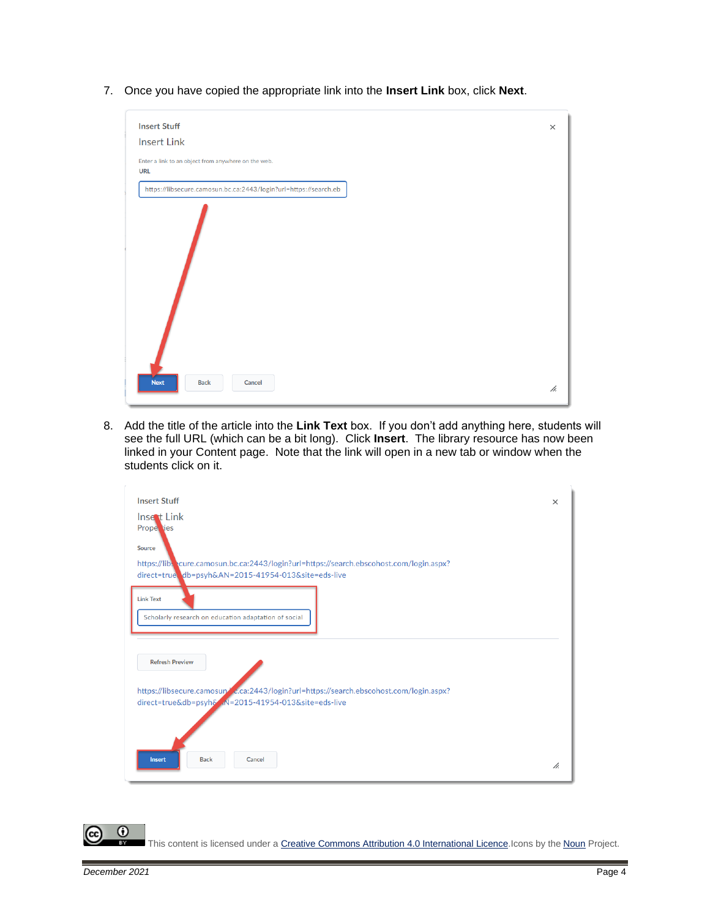7. Once you have copied the appropriate link into the **Insert Link** box, click **Next**.

| <b>Insert Stuff</b>                                               | $\times$ |
|-------------------------------------------------------------------|----------|
| <b>Insert Link</b>                                                |          |
| Enter a link to an object from anywhere on the web.<br><b>URL</b> |          |
| https://libsecure.camosun.bc.ca:2443/login?url=https://search.eb  |          |
|                                                                   |          |
|                                                                   |          |

8. Add the title of the article into the **Link Text** box. If you don't add anything here, students will see the full URL (which can be a bit long). Click **Insert**. The library resource has now been linked in your Content page. Note that the link will open in a new tab or window when the students click on it.

| <b>Insert Stuff</b>                                                                                                                                      | $\times$ |
|----------------------------------------------------------------------------------------------------------------------------------------------------------|----------|
| <b>Insect Link</b><br>Prope jes                                                                                                                          |          |
| Source<br>https://lib. cure.camosun.bc.ca:2443/login?url=https://search.ebscohost.com/login.aspx?<br>direct=true db=psyh&AN=2015-41954-013&site=eds-live |          |
| <b>Link Text</b><br>Scholarly research on education adaptation of social                                                                                 |          |
| <b>Refresh Preview</b>                                                                                                                                   |          |
| https://libsecure.camosun/ c.ca:2443/login?url=https://search.ebscohost.com/login.aspx?<br>direct=true&db=psyh& N=2015-41954-013&site=eds-live           |          |
|                                                                                                                                                          |          |
| <b>Back</b><br>Cancel<br><b>Insert</b>                                                                                                                   | h.       |

This content is licensed under [a Creative Commons Attribution 4.0 International Licence.I](https://creativecommons.org/licenses/by/4.0/)cons by the [Noun](https://creativecommons.org/website-icons/) Project.

 $\Omega$